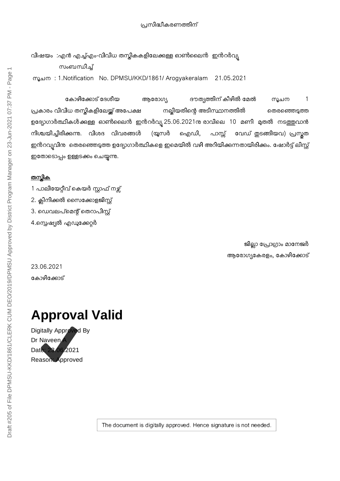## വിഷയം :എൻ എച്ച്എം-വിവിധ തസ്തികകളിലേക്കുള്ള ഓൺലൈൻ ഇൻറർവ്യ സംബന്ധിച്ച്

%ചന : 1.Notification No. DPMSU/KKD/1861/ Arogyakeralam 21.05.2021

കോഴിക്കോട് ദേശീയ ആരോഗ്യ ദൗത്യത്തിന് കീഴിൽ മേൽ സൂചന 1 പ്രകാരം വിവിധ തസ്തികളിലേയ്ക്ക് അപേക്ഷ നല്ലിയതിന്റെ അടിസ്ഥാനത്തിൽ രെതരഞ്ഞെടുത്ത ഉദ്യോഗാർത്ഥികൾക്കുള്ള ഓൺലൈൻ ഇൻറർവ്യ 25.06.2021നു രാവിലെ 10 മണി മുതൽ നടത്തുവാൻ നിശ്ചയിച്ചിരിക്കന്നു. വിശദ വിവരങ്ങൾ (യൂസർ ഐഡി, പാസ്സ് വേഡ് തുടങ്ങിയവ) പ്രസ്തത ഇൻറവ്യവിനു തെരഞ്ഞെടുത്ത ഉദ്യോഗാർത്ഥികളെ ഇമെയിൽ വഴി അറിയിക്കുന്നതായിരിക്കും. ഷോർട്ട് ലിസ്റ്റ് ഇതോടൊപ്പം ഉള്ളടക്കം ചെയ്യുന്നു.

## <u>തസ്കിക</u>

1 പാലിയേറ്റീവ് കെയർ സ്റ്റാഫ് നഴ്ല് 2. ക്ലിനിക്കൽ സൈക്കോളജിസ്റ്റ് 3. ഡെവലപ്മെന്റ് തെറാപിസ്റ്റ് 4.സ്പെഷ്യൽ എഡുക്കേറ്റർ

> ജില്ലാ പ്രോഗ്രാം മാനേജർ ആരോഗ്യകേരളം, കോഴിക്കോട്

23.06.2021 കോഴിക്കോട്

## **Approval Valid**

Digitally Approved By Dr Naveen Date: 23.06.2021 Reason: Approved

The document is digitally approved. Hence signature is not needed.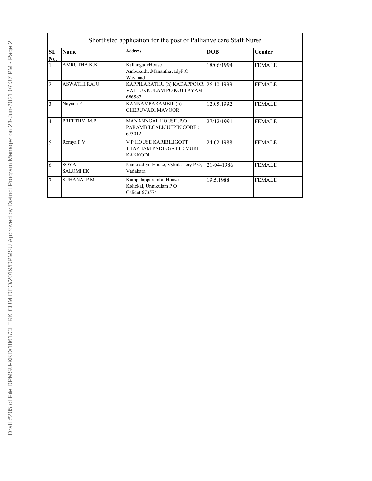| SL<br>No.      | <b>Name</b>                     | <b>Address</b>                                                      | <b>DOB</b> | Gender        |
|----------------|---------------------------------|---------------------------------------------------------------------|------------|---------------|
|                | AMRUTHA.K.K                     | KallangadyHouse<br>Ambukuthy, Mananthavady P.O<br>Wayanad           | 18/06/1994 | <b>FEMALE</b> |
| $\overline{2}$ | <b>ASWATHI RAJU</b>             | KAPPILARATHU (h) KADAPPOOR<br>VATTUKKULAM PO KOTTAYAM<br>686587     | 26.10.1999 | <b>FEMALE</b> |
| 3              | Nayana P                        | KANNAMPARAMBIL (h)<br>CHERUVADI MAVOOR                              | 12.05.1992 | <b>FEMALE</b> |
| $\overline{4}$ | PREETHY, M.P.                   | MANANNGAL HOUSE ,P.O<br>PARAMBILCALICUTPIN CODE:<br>673012          | 27/12/1991 | <b>FEMALE</b> |
|                | Remya P V                       | V P HOUSE KARIBILIGOTT<br>THAZHAM PADINGATTE MURI<br><b>KAKKODI</b> | 24.02.1988 | <b>FEMALE</b> |
| 6              | <b>SOYA</b><br><b>SALOMI EK</b> | Nanknadiyil House, Vykalassery PO,<br>Vadakara                      | 21-04-1986 | <b>FEMALE</b> |
|                | SUHANA. P M                     | Kumpalapparambil House<br>Kolickal, Unnikulam PO<br>Calicut, 673574 | 19.5.1988  | <b>FEMALE</b> |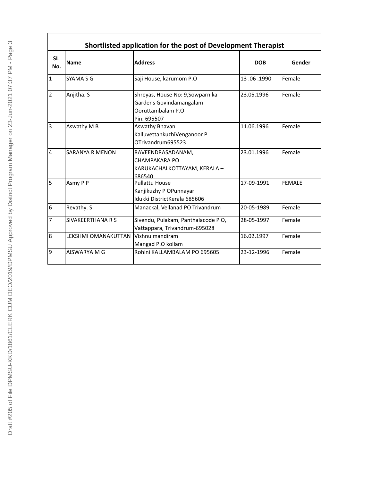| Shortlisted application for the post of Development Therapist |                          |                                                                                                 |            |               |
|---------------------------------------------------------------|--------------------------|-------------------------------------------------------------------------------------------------|------------|---------------|
| <b>SL</b><br>No.                                              | <b>Name</b>              | <b>Address</b>                                                                                  | <b>DOB</b> | Gender        |
| $\mathbf{1}$                                                  | SYAMA S G                | Saji House, karumom P.O                                                                         | 13.06.1990 | Female        |
| $\overline{2}$                                                | Anjitha. S               | Shreyas, House No: 9,Sowparnika<br>Gardens Govindamangalam<br>Ooruttambalam P.O.<br>Pin: 695507 | 23.05.1996 | Female        |
| 3                                                             | Aswathy M B              | Aswathy Bhavan<br>KalluvettankuzhiVenganoor P<br>OTrivandrum695523                              | 11.06.1996 | Female        |
| $\overline{4}$                                                | <b>SARANYA R MENON</b>   | RAVEENDRASADANAM,<br>CHAMPAKARA PO<br>KARUKACHALKOTTAYAM, KERALA -<br>686540                    | 23.01.1996 | Female        |
| 5                                                             | Asmy P P                 | <b>Pullattu House</b><br>Kanjikuzhy P OPunnayar<br>Idukki DistrictKerala 685606                 | 17-09-1991 | <b>FEMALE</b> |
| 6                                                             | Revathy. S               | Manackal, Vellanad PO Trivandrum                                                                | 20-05-1989 | Female        |
| 7                                                             | <b>SIVAKEERTHANA R S</b> | Sivendu, Pulakam, Panthalacode PO,<br>Vattappara, Trivandrum-695028                             | 28-05-1997 | Female        |
| 8                                                             | LEKSHMI OMANAKUTTAN      | Vishnu mandiram<br>Mangad P.O kollam                                                            | 16.02.1997 | Female        |
| 9                                                             | AISWARYA M G             | Rohini KALLAMBALAM PO 695605                                                                    | 23-12-1996 | Female        |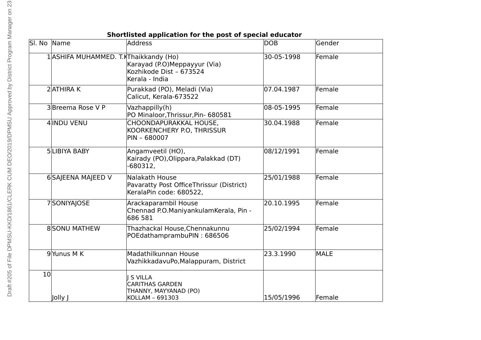| Sl. No Name     |                                       | <b>Address</b>                                                                        | <b>DOB</b> | Gender      |
|-----------------|---------------------------------------|---------------------------------------------------------------------------------------|------------|-------------|
|                 | 1 ASHIFA MUHAMMED. T.KThaikkandy (Ho) | Karayad (P.O)Meppayyur (Via)<br>Kozhikode Dist - 673524<br>Kerala - India             | 30-05-1998 | Female      |
|                 | 2 ATHIRA K                            | Purakkad (PO), Meladi (Via)<br>Calicut, Kerala-673522                                 | 07.04.1987 | Female      |
|                 | 3Breema Rose V P                      | Vazhappilly(h)<br>PO Minaloor, Thrissur, Pin- 680581                                  | 08-05-1995 | Female      |
|                 | 4 INDU VENU                           | CHOONDAPURAKKAL HOUSE,<br>KOORKENCHERY P.O, THRISSUR<br>PIN - 680007                  | 30.04.1988 | Female      |
|                 | <b>5 LIBIYA BABY</b>                  | Angamveetil (HO),<br>Kairady (PO), Olippara, Palakkad (DT)<br>$-680312,$              | 08/12/1991 | Female      |
|                 | 6 SAJEENA MAJEED V                    | Nalakath House<br>Pavaratty Post OfficeThrissur (District)<br>KeralaPin code: 680522, | 25/01/1988 | Female      |
|                 | 7SONIYAJOSE                           | Arackaparambil House<br>Chennad P.O.ManiyankulamKerala, Pin -<br>686 581              | 20.10.1995 | Female      |
|                 | <b>8SONU MATHEW</b>                   | Thazhackal House, Chennakunnu<br>POEdathamprambuPIN: 686506                           | 25/02/1994 | Female      |
|                 | 9Yunus M K                            | Madathilkunnan House<br>VazhikkadavuPo, Malappuram, District                          | 23.3.1990  | <b>MALE</b> |
| 10 <sup>1</sup> | Jolly J                               | <b>S VILLA</b><br><b>CARITHAS GARDEN</b><br>THANNY, MAYYANAD (PO)<br>KOLLAM - 691303  | 15/05/1996 | Female      |